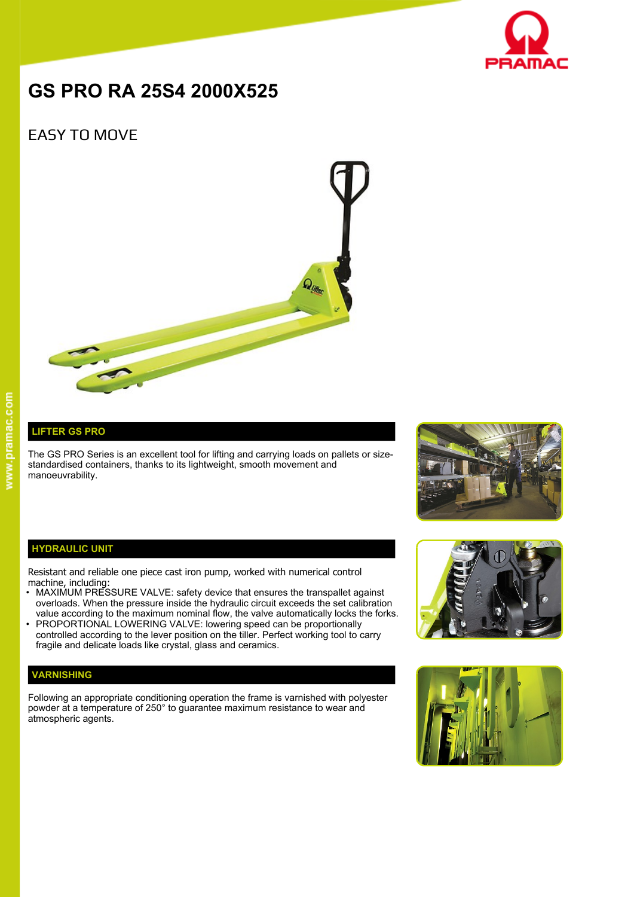

# **GS PRO RA 25S4 2000X525**

# EASY TO MOVE



## **LIFTER GS PRO**

The GS PRO Series is an excellent tool for lifting and carrying loads on pallets or sizestandardised containers, thanks to its lightweight, smooth movement and manoeuvrability.



#### **HYDRAULIC UNIT**

Resistant and reliable one piece cast iron pump, worked with numerical control machine, including:

- MAXIMUM PRESSURE VALVE: safety device that ensures the transpallet against overloads. When the pressure inside the hydraulic circuit exceeds the set calibration value according to the maximum nominal flow, the valve automatically locks the forks.
- PROPORTIONAL LOWERING VALVE: lowering speed can be proportionally controlled according to the lever position on the tiller. Perfect working tool to carry fragile and delicate loads like crystal, glass and ceramics.

### **VARNISHING**

Following an appropriate conditioning operation the frame is varnished with polyester powder at a temperature of 250° to guarantee maximum resistance to wear and atmospheric agents.



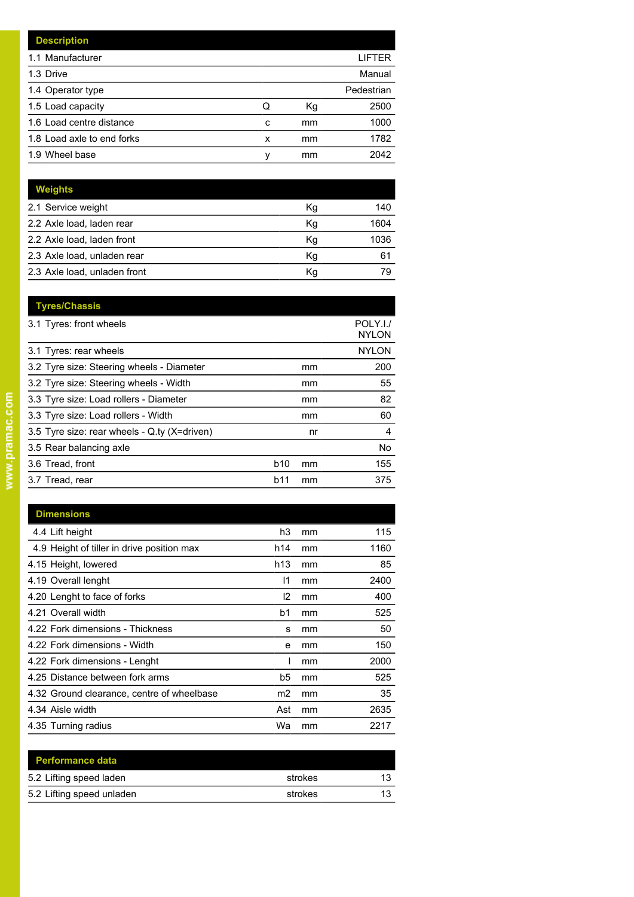| <b>Description</b>         |   |    |            |
|----------------------------|---|----|------------|
| 1.1 Manufacturer           |   |    | LIFTER     |
| 1.3 Drive                  |   |    | Manual     |
| 1.4 Operator type          |   |    | Pedestrian |
| 1.5 Load capacity          | Q | Кg | 2500       |
| 1.6 Load centre distance   | c | mm | 1000       |
| 1.8 Load axle to end forks | x | mm | 1782       |
| 1.9 Wheel base             | v | mm | 2042       |

| <b>Weights</b>               |    |      |
|------------------------------|----|------|
| 2.1 Service weight           | Кg | 140  |
| 2.2 Axle load, laden rear    | Kg | 1604 |
| 2.2 Axle load, laden front   | Κg | 1036 |
| 2.3 Axle load, unladen rear  | Κq | 61   |
| 2.3 Axle load, unladen front | Κq | 79   |

|            |    | POLY.I./<br><b>NYLON</b> |
|------------|----|--------------------------|
|            |    | <b>NYLON</b>             |
|            | mm | 200                      |
|            | mm | 55                       |
|            | mm | 82                       |
|            | mm | 60                       |
|            | nr | 4                        |
|            |    | No.                      |
| <b>b10</b> | mm | 155                      |
| b11        | mm | 375                      |
|            |    |                          |

| <b>Dimensions</b>                          |                 |    |      |
|--------------------------------------------|-----------------|----|------|
| 4.4 Lift height                            | h3              | mm | 115  |
| 4.9 Height of tiller in drive position max | h14             | mm | 1160 |
| 4.15 Height, lowered                       | h <sub>13</sub> | mm | 85   |
| 4.19 Overall lenght                        | 11              | mm | 2400 |
| 4.20 Lenght to face of forks               | 12              | mm | 400  |
| 4.21 Overall width                         | b1              | mm | 525  |
| 4.22 Fork dimensions - Thickness           | s               | mm | 50   |
| 4.22 Fork dimensions - Width               | е               | mm | 150  |
| 4.22 Fork dimensions - Lenght              |                 | mm | 2000 |
| 4.25 Distance between fork arms            | b5              | mm | 525  |
| 4.32 Ground clearance, centre of wheelbase | m <sub>2</sub>  | mm | 35   |
| 4.34 Aisle width                           | Ast             | mm | 2635 |
| 4.35 Turning radius                        | Wa              | mm | 2217 |

| <b>Performance data</b>   |         |    |
|---------------------------|---------|----|
| 5.2 Lifting speed laden   | strokes | 13 |
| 5.2 Lifting speed unladen | strokes | 13 |
|                           |         |    |